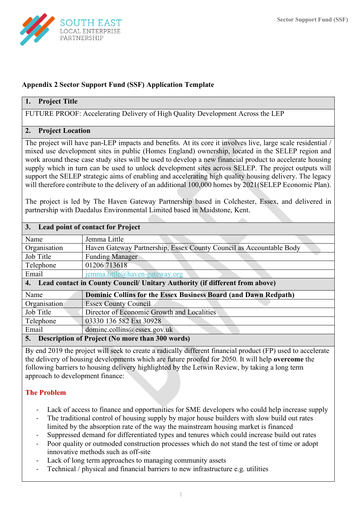

## **Appendix 2 Sector Support Fund (SSF) Application Template**

## **1. Project Title**

FUTURE PROOF: Accelerating Delivery of High Quality Development Across the LEP

#### **2. Project Location**

The project will have pan-LEP impacts and benefits. At its core it involves live, large scale residential / mixed use development sites in public (Homes England) ownership, located in the SELEP region and work around these case study sites will be used to develop a new financial product to accelerate housing supply which in turn can be used to unlock development sites across SELEP. The project outputs will support the SELEP strategic aims of enabling and accelerating high quality housing delivery. The legacy will therefore contribute to the delivery of an additional 100,000 homes by 2021(SELEP Economic Plan).

The project is led by The Haven Gateway Partnership based in Colchester, Essex, and delivered in partnership with Daedalus Environmental Limited based in Maidstone, Kent.

| 3. Lead point of contact for Project                                           |                                                                        |  |
|--------------------------------------------------------------------------------|------------------------------------------------------------------------|--|
| Name                                                                           | Jemma Little                                                           |  |
| Organisation                                                                   | Haven Gateway Partnership, Essex County Council as Accountable Body    |  |
| Job Title                                                                      | <b>Funding Manager</b>                                                 |  |
| Telephone                                                                      | 01206 713618                                                           |  |
| Email                                                                          | jemma.little@haven-gateway.org                                         |  |
| 4. Lead contact in County Council/ Unitary Authority (if different from above) |                                                                        |  |
| Name                                                                           | <b>Dominic Collins for the Essex Business Board (and Dawn Redpath)</b> |  |
| Organisation                                                                   | <b>Essex County Council</b>                                            |  |
| Job Title                                                                      | Director of Economic Growth and Localities                             |  |
| Telephone                                                                      | 03330 136 582 Ext 30928                                                |  |
| Email                                                                          | dominc.collins@essex.gov.uk                                            |  |
| <b>Description of Project (No more than 300 words)</b><br>5.                   |                                                                        |  |

By end 2019 the project will seek to create a radically different financial product (FP) used to accelerate the delivery of housing developments which are future proofed for 2050. It will help **overcome** the following barriers to housing delivery highlighted by the Letwin Review, by taking a long term approach to development finance:

# **The Problem**

- Lack of access to finance and opportunities for SME developers who could help increase supply
- The traditional control of housing supply by major house builders with slow build out rates limited by the absorption rate of the way the mainstream housing market is financed
- Suppressed demand for differentiated types and tenures which could increase build out rates
- Poor quality or outmoded construction processes which do not stand the test of time or adopt innovative methods such as off-site
- Lack of long term approaches to managing community assets
- Technical / physical and financial barriers to new infrastructure e.g. utilities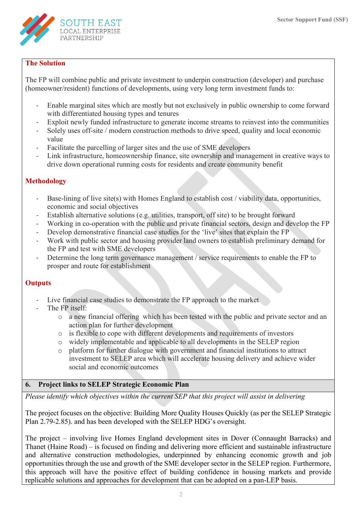

## **The Solution**

The FP will combine public and private investment to underpin construction (developer) and purchase (homeowner/resident) functions of developments, using very long term investment funds to:

- Enable marginal sites which are mostly but not exclusively in public ownership to come forward with differentiated housing types and tenures
- Exploit newly funded infrastructure to generate income streams to reinvest into the communities
- Solely uses off-site / modern construction methods to drive speed, quality and local economic value
- Facilitate the parcelling of larger sites and the use of SME developers
- Link infrastructure, homeownership finance, site ownership and management in creative ways to drive down operational running costs for residents and create community benefit

## **Methodology**

- Base-lining of live site(s) with Homes England to establish cost / viability data, opportunities, economic and social objectives
- Establish alternative solutions (e.g. utilities, transport, off site) to be brought forward
- Working in co-operation with the public and private financial sectors, design and develop the FP
- Develop demonstrative financial case studies for the 'live' sites that explain the FP
- Work with public sector and housing provider land owners to establish preliminary demand for the FP and test with SME developers
- Determine the long term governance management / service requirements to enable the FP to prosper and route for establishment

## **Outputs**

- Live financial case studies to demonstrate the FP approach to the market
- The FP itself:
	- o a new financial offering which has been tested with the public and private sector and an action plan for further development
	- o is flexible to cope with different developments and requirements of investors
	- o widely implementable and applicable to all developments in the SELEP region
	- o platform for further dialogue with government and financial institutions to attract investment to SELEP area which will accelerate housing delivery and achieve wider social and economic outcomes

# **6. Project links to SELEP Strategic Economic Plan**

*Please identify which objectives within the current SEP that this project will assist in delivering*

The project focuses on the objective: Building More Quality Houses Quickly (as per the SELEP Strategic Plan 2.79-2.85). and has been developed with the SELEP HDG's oversight.

The project – involving live Homes England development sites in Dover (Connaught Barracks) and Thanet (Haine Road) – is focused on finding and delivering more efficient and sustainable infrastructure and alternative construction methodologies, underpinned by enhancing economic growth and job opportunities through the use and growth of the SME developer sector in the SELEP region. Furthermore, this approach will have the positive effect of building confidence in housing markets and provide replicable solutions and approaches for development that can be adopted on a pan-LEP basis.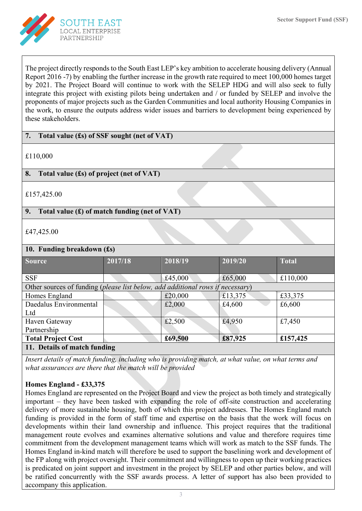

The project directly responds to the South East LEP's key ambition to accelerate housing delivery (Annual Report 2016 -7) by enabling the further increase in the growth rate required to meet 100,000 homes target by 2021. The Project Board will continue to work with the SELEP HDG and will also seek to fully integrate this project with existing pilots being undertaken and / or funded by SELEP and involve the proponents of major projects such as the Garden Communities and local authority Housing Companies in the work, to ensure the outputs address wider issues and barriers to development being experienced by these stakeholders.

## **7. Total value (£s) of SSF sought (net of VAT)**

£110,000

## **8. Total value (£s) of project (net of VAT)**

£157,425.00

## **9. Total value (£) of match funding (net of VAT)**

£47,425.00

## **10. Funding breakdown (£s)**

| <b>Source</b>                                                                                                                                                                                                                                                                                                                                      | 2017/18 | 2018/19 | 2019/20 | <b>Total</b> |  |
|----------------------------------------------------------------------------------------------------------------------------------------------------------------------------------------------------------------------------------------------------------------------------------------------------------------------------------------------------|---------|---------|---------|--------------|--|
|                                                                                                                                                                                                                                                                                                                                                    |         |         |         |              |  |
| <b>SSF</b>                                                                                                                                                                                                                                                                                                                                         |         | £45,000 | £65,000 | £110,000     |  |
| Other sources of funding (please list below, add additional rows if necessary)                                                                                                                                                                                                                                                                     |         |         |         |              |  |
| Homes England                                                                                                                                                                                                                                                                                                                                      |         | £20,000 | £13,375 | £33,375      |  |
| Daedalus Environmental                                                                                                                                                                                                                                                                                                                             |         | £2,000  | £4,600  | £6,600       |  |
| Ltd                                                                                                                                                                                                                                                                                                                                                |         |         |         |              |  |
| Haven Gateway                                                                                                                                                                                                                                                                                                                                      |         | £2,500  | £4,950  | £7,450       |  |
| Partnership                                                                                                                                                                                                                                                                                                                                        |         |         |         |              |  |
| <b>Total Project Cost</b>                                                                                                                                                                                                                                                                                                                          |         | £69,500 | £87,925 | £157,425     |  |
| $\mathbf{A}$ $\mathbf{B}$ $\mathbf{A}$ $\mathbf{B}$ $\mathbf{C}$ $\mathbf{A}$ $\mathbf{D}$ $\mathbf{A}$ $\mathbf{A}$ $\mathbf{C}$ $\mathbf{A}$ $\mathbf{D}$ $\mathbf{A}$ $\mathbf{A}$ $\mathbf{D}$ $\mathbf{A}$ $\mathbf{A}$ $\mathbf{D}$ $\mathbf{A}$ $\mathbf{D}$ $\mathbf{A}$ $\mathbf{D}$ $\mathbf{A}$ $\mathbf{D}$ $\mathbf{$<br>$\mathbf{r}$ |         |         |         |              |  |

#### **11. Details of match funding**

*Insert details of match funding, including who is providing match, at what value, on what terms and what assurances are there that the match will be provided*

## **Homes England - £33,375**

Homes England are represented on the Project Board and view the project as both timely and strategically important – they have been tasked with expanding the role of off-site construction and accelerating delivery of more sustainable housing, both of which this project addresses. The Homes England match funding is provided in the form of staff time and expertise on the basis that the work will focus on developments within their land ownership and influence. This project requires that the traditional management route evolves and examines alternative solutions and value and therefore requires time commitment from the development management teams which will work as match to the SSF funds. The Homes England in-kind match will therefore be used to support the baselining work and development of the FP along with project oversight. Their commitment and willingness to open up their working practices is predicated on joint support and investment in the project by SELEP and other parties below, and will be ratified concurrently with the SSF awards process. A letter of support has also been provided to accompany this application.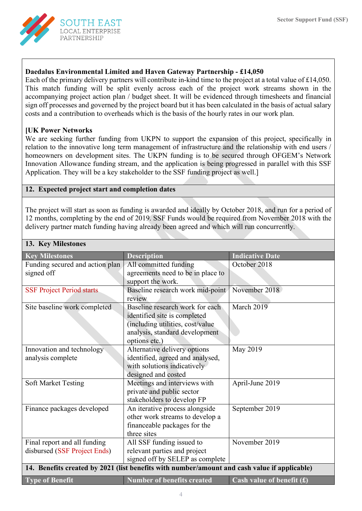

## **Daedalus Environmental Limited and Haven Gateway Partnership - £14,050**

Each of the primary delivery partners will contribute in-kind time to the project at a total value of £14,050. This match funding will be split evenly across each of the project work streams shown in the accompanying project action plan / budget sheet. It will be evidenced through timesheets and financial sign off processes and governed by the project board but it has been calculated in the basis of actual salary costs and a contribution to overheads which is the basis of the hourly rates in our work plan.

#### **[UK Power Networks**

We are seeking further funding from UKPN to support the expansion of this project, specifically in relation to the innovative long term management of infrastructure and the relationship with end users / homeowners on development sites. The UKPN funding is to be secured through OFGEM's Network Innovation Allowance funding stream, and the application is being progressed in parallel with this SSF Application. They will be a key stakeholder to the SSF funding project as well.]

## **12. Expected project start and completion dates**

The project will start as soon as funding is awarded and ideally by October 2018, and run for a period of 12 months, completing by the end of 2019. SSF Funds would be required from November 2018 with the delivery partner match funding having already been agreed and which will run concurrently.

| 13. Key Milestones                                                                           |                                                    |                             |  |  |
|----------------------------------------------------------------------------------------------|----------------------------------------------------|-----------------------------|--|--|
| <b>Key Milestones</b>                                                                        | <b>Description</b>                                 | <b>Indicative Date</b>      |  |  |
| Funding secured and action plan                                                              | All committed funding                              | October 2018                |  |  |
| signed off                                                                                   | agreements need to be in place to                  |                             |  |  |
|                                                                                              | support the work.                                  |                             |  |  |
| <b>SSF Project Period starts</b>                                                             | Baseline research work mid-point                   | November 2018               |  |  |
|                                                                                              | review                                             |                             |  |  |
| Site baseline work completed                                                                 | Baseline research work for each                    | March 2019                  |  |  |
|                                                                                              | identified site is completed                       |                             |  |  |
|                                                                                              | (including utilities, cost/value                   |                             |  |  |
|                                                                                              | analysis, standard development                     |                             |  |  |
|                                                                                              | options etc.)                                      |                             |  |  |
| Innovation and technology                                                                    | Alternative delivery options                       | May 2019                    |  |  |
| analysis complete                                                                            | identified, agreed and analysed,                   |                             |  |  |
|                                                                                              | with solutions indicatively<br>designed and costed |                             |  |  |
| <b>Soft Market Testing</b>                                                                   | Meetings and interviews with                       | April-June 2019             |  |  |
|                                                                                              | private and public sector                          |                             |  |  |
|                                                                                              | stakeholders to develop FP                         |                             |  |  |
| Finance packages developed                                                                   | An iterative process alongside                     | September 2019              |  |  |
|                                                                                              | other work streams to develop a                    |                             |  |  |
|                                                                                              | financeable packages for the                       |                             |  |  |
|                                                                                              | three sites                                        |                             |  |  |
| Final report and all funding                                                                 | All SSF funding issued to                          | November 2019               |  |  |
| disbursed (SSF Project Ends)                                                                 | relevant parties and project                       |                             |  |  |
|                                                                                              | signed off by SELEP as complete                    |                             |  |  |
| 14. Benefits created by 2021 (list benefits with number/amount and cash value if applicable) |                                                    |                             |  |  |
| <b>Type of Benefit</b>                                                                       | <b>Number of benefits created</b>                  | Cash value of benefit $(f)$ |  |  |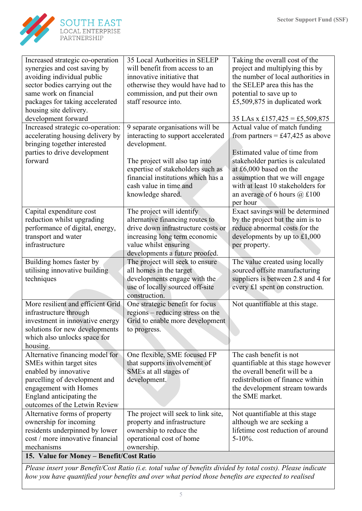

| Increased strategic co-operation  | 35 Local Authorities in SELEP            | Taking the overall cost of the          |  |  |  |
|-----------------------------------|------------------------------------------|-----------------------------------------|--|--|--|
| synergies and cost saving by      | will benefit from access to an           | project and multiplying this by         |  |  |  |
| avoiding individual public        | innovative initiative that               | the number of local authorities in      |  |  |  |
| sector bodies carrying out the    | otherwise they would have had to         | the SELEP area this has the             |  |  |  |
| same work on financial            | commission, and put their own            | potential to save up to                 |  |  |  |
| packages for taking accelerated   | staff resource into.                     | £5,509,875 in duplicated work           |  |  |  |
| housing site delivery.            |                                          |                                         |  |  |  |
| development forward               |                                          | 35 LAs x £157,425 = £5,509,875          |  |  |  |
| Increased strategic co-operation: | 9 separate organisations will be         | Actual value of match funding           |  |  |  |
| accelerating housing delivery by  | interacting to support accelerated       | from partners = £47,425 as above        |  |  |  |
| bringing together interested      | development.                             |                                         |  |  |  |
| parties to drive development      |                                          | Estimated value of time from            |  |  |  |
| forward                           | The project will also tap into           | stakeholder parties is calculated       |  |  |  |
|                                   | expertise of stakeholders such as        | at £6,000 based on the                  |  |  |  |
|                                   | financial institutions which has a       | assumption that we will engage          |  |  |  |
|                                   | cash value in time and                   | with at least 10 stakeholders for       |  |  |  |
|                                   | knowledge shared.                        | an average of 6 hours $(a) \pounds 100$ |  |  |  |
|                                   |                                          | per hour                                |  |  |  |
| Capital expenditure cost          | The project will identify                | Exact savings will be determined        |  |  |  |
| reduction whilst upgrading        | alternative financing routes to          | by the project but the aim is to        |  |  |  |
| performance of digital, energy,   | drive down infrastructure costs or       | reduce abnormal costs for the           |  |  |  |
| transport and water               | increasing long term economic            | developments by up to $£1,000$          |  |  |  |
| infrastructure                    | value whilst ensuring                    | per property.                           |  |  |  |
|                                   | developments a future proofed.           |                                         |  |  |  |
| Building homes faster by          | The project will seek to ensure          | The value created using locally         |  |  |  |
| utilising innovative building     | all homes in the target                  | sourced offsite manufacturing           |  |  |  |
| techniques                        | developments engage with the             | suppliers is between 2.8 and 4 for      |  |  |  |
|                                   | use of locally sourced off-site          | every £1 spent on construction.         |  |  |  |
|                                   | construction.                            |                                         |  |  |  |
| More resilient and efficient Grid | One strategic benefit for focus          | Not quantifiable at this stage.         |  |  |  |
| infrastructure through            | regions – reducing stress on the         |                                         |  |  |  |
| investment in innovative energy   | Grid to enable more development          |                                         |  |  |  |
| solutions for new developments    | to progress.                             |                                         |  |  |  |
| which also unlocks space for      |                                          |                                         |  |  |  |
| housing.                          |                                          |                                         |  |  |  |
| Alternative financing model for   | One flexible, SME focused FP             | The cash benefit is not                 |  |  |  |
| SMEs within target sites          | that supports involvement of             | quantifiable at this stage however      |  |  |  |
| enabled by innovative             | SMEs at all stages of                    | the overall benefit will be a           |  |  |  |
| parcelling of development and     | development.                             | redistribution of finance within        |  |  |  |
| engagement with Homes             |                                          | the development stream towards          |  |  |  |
| England anticipating the          |                                          | the SME market.                         |  |  |  |
| outcomes of the Letwin Review     |                                          |                                         |  |  |  |
| Alternative forms of property     | The project will seek to link site,      | Not quantifiable at this stage          |  |  |  |
| ownership for incoming            | property and infrastructure              | although we are seeking a               |  |  |  |
| residents underpinned by lower    | ownership to reduce the                  | lifetime cost reduction of around       |  |  |  |
| cost / more innovative financial  | operational cost of home                 | $5-10\%$ .                              |  |  |  |
| mechanisms                        | ownership.                               |                                         |  |  |  |
|                                   | 15. Value for Money - Benefit/Cost Ratio |                                         |  |  |  |

*Please insert your Benefit/Cost Ratio (i.e. total value of benefits divided by total costs). Please indicate how you have quantified your benefits and over what period those benefits are expected to realised*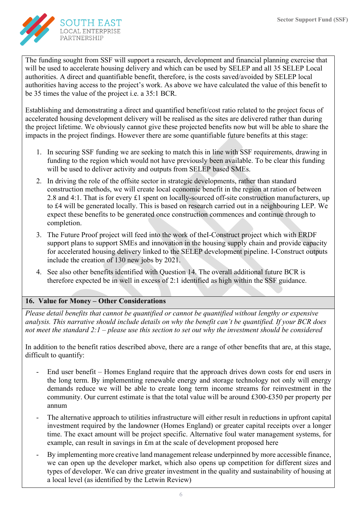

The funding sought from SSF will support a research, development and financial planning exercise that will be used to accelerate housing delivery and which can be used by SELEP and all 35 SELEP Local authorities. A direct and quantifiable benefit, therefore, is the costs saved/avoided by SELEP local authorities having access to the project's work. As above we have calculated the value of this benefit to be 35 times the value of the project i.e. a 35:1 BCR.

Establishing and demonstrating a direct and quantified benefit/cost ratio related to the project focus of accelerated housing development delivery will be realised as the sites are delivered rather than during the project lifetime. We obviously cannot give these projected benefits now but will be able to share the impacts in the project findings. However there are some quantifiable future benefits at this stage:

- 1. In securing SSF funding we are seeking to match this in line with SSF requirements, drawing in funding to the region which would not have previously been available. To be clear this funding will be used to deliver activity and outputs from SELEP based SMEs.
- 2. In driving the role of the offsite sector in strategic developments, rather than standard construction methods, we will create local economic benefit in the region at ration of between 2.8 and 4:1. That is for every £1 spent on locally-sourced off-site construction manufacturers, up to £4 will be generated locally. This is based on research carried out in a neighbouring LEP. We expect these benefits to be generated once construction commences and continue through to completion.
- 3. The Future Proof project will feed into the work of theI-Construct project which with ERDF support plans to support SMEs and innovation in the housing supply chain and provide capacity for accelerated housing delivery linked to the SELEP development pipeline. I-Construct outputs include the creation of 130 new jobs by 2021.
- 4. See also other benefits identified with Question 14. The overall additional future BCR is therefore expected be in well in excess of 2:1 identified as high within the SSF guidance.

# **16. Value for Money – Other Considerations**

*Please detail benefits that cannot be quantified or cannot be quantified without lengthy or expensive analysis. This narrative should include details on why the benefit can't be quantified. If your BCR does not meet the standard 2:1 – please use this section to set out why the investment should be considered*

In addition to the benefit ratios described above, there are a range of other benefits that are, at this stage, difficult to quantify:

- End user benefit Homes England require that the approach drives down costs for end users in the long term. By implementing renewable energy and storage technology not only will energy demands reduce we will be able to create long term income streams for reinvestment in the community. Our current estimate is that the total value will be around £300-£350 per property per annum
- The alternative approach to utilities infrastructure will either result in reductions in upfront capital investment required by the landowner (Homes England) or greater capital receipts over a longer time. The exact amount will be project specific. Alternative foul water management systems, for example, can result in savings in £m at the scale of development proposed here
- By implementing more creative land management release underpinned by more accessible finance, we can open up the developer market, which also opens up competition for different sizes and types of developer. We can drive greater investment in the quality and sustainability of housing at a local level (as identified by the Letwin Review)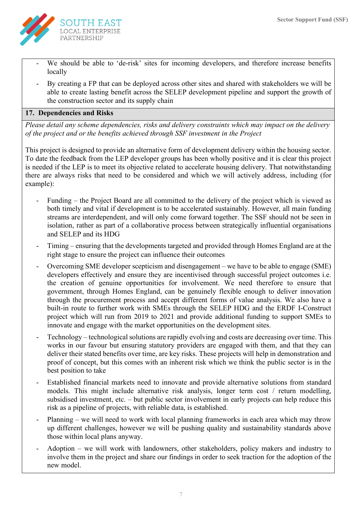

- We should be able to 'de-risk' sites for incoming developers, and therefore increase benefits locally
- By creating a FP that can be deployed across other sites and shared with stakeholders we will be able to create lasting benefit across the SELEP development pipeline and support the growth of the construction sector and its supply chain

## **17. Dependencies and Risks**

*Please detail any scheme dependencies, risks and delivery constraints which may impact on the delivery of the project and or the benefits achieved through SSF investment in the Project*

This project is designed to provide an alternative form of development delivery within the housing sector. To date the feedback from the LEP developer groups has been wholly positive and it is clear this project is needed if the LEP is to meet its objective related to accelerate housing delivery. That notwithstanding there are always risks that need to be considered and which we will actively address, including (for example):

- Funding the Project Board are all committed to the delivery of the project which is viewed as both timely and vital if development is to be accelerated sustainably. However, all main funding streams are interdependent, and will only come forward together. The SSF should not be seen in isolation, rather as part of a collaborative process between strategically influential organisations and SELEP and its HDG
- Timing ensuring that the developments targeted and provided through Homes England are at the right stage to ensure the project can influence their outcomes
- Overcoming SME developer scepticism and disengagement we have to be able to engage (SME) developers effectively and ensure they are incentivised through successful project outcomes i.e. the creation of genuine opportunities for involvement. We need therefore to ensure that government, through Homes England, can be genuinely flexible enough to deliver innovation through the procurement process and accept different forms of value analysis. We also have a built-in route to further work with SMEs through the SELEP HDG and the ERDF I-Construct project which will run from 2019 to 2021 and provide additional funding to support SMEs to innovate and engage with the market opportunities on the development sites.
- Technology technological solutions are rapidly evolving and costs are decreasing over time. This works in our favour but ensuring statutory providers are engaged with them, and that they can deliver their stated benefits over time, are key risks. These projects will help in demonstration and proof of concept, but this comes with an inherent risk which we think the public sector is in the best position to take
- Established financial markets need to innovate and provide alternative solutions from standard models. This might include alternative risk analysis, longer term cost / return modelling, subsidised investment, etc. – but public sector involvement in early projects can help reduce this risk as a pipeline of projects, with reliable data, is established.
- Planning we will need to work with local planning frameworks in each area which may throw up different challenges, however we will be pushing quality and sustainability standards above those within local plans anyway.
- Adoption we will work with landowners, other stakeholders, policy makers and industry to involve them in the project and share our findings in order to seek traction for the adoption of the new model.